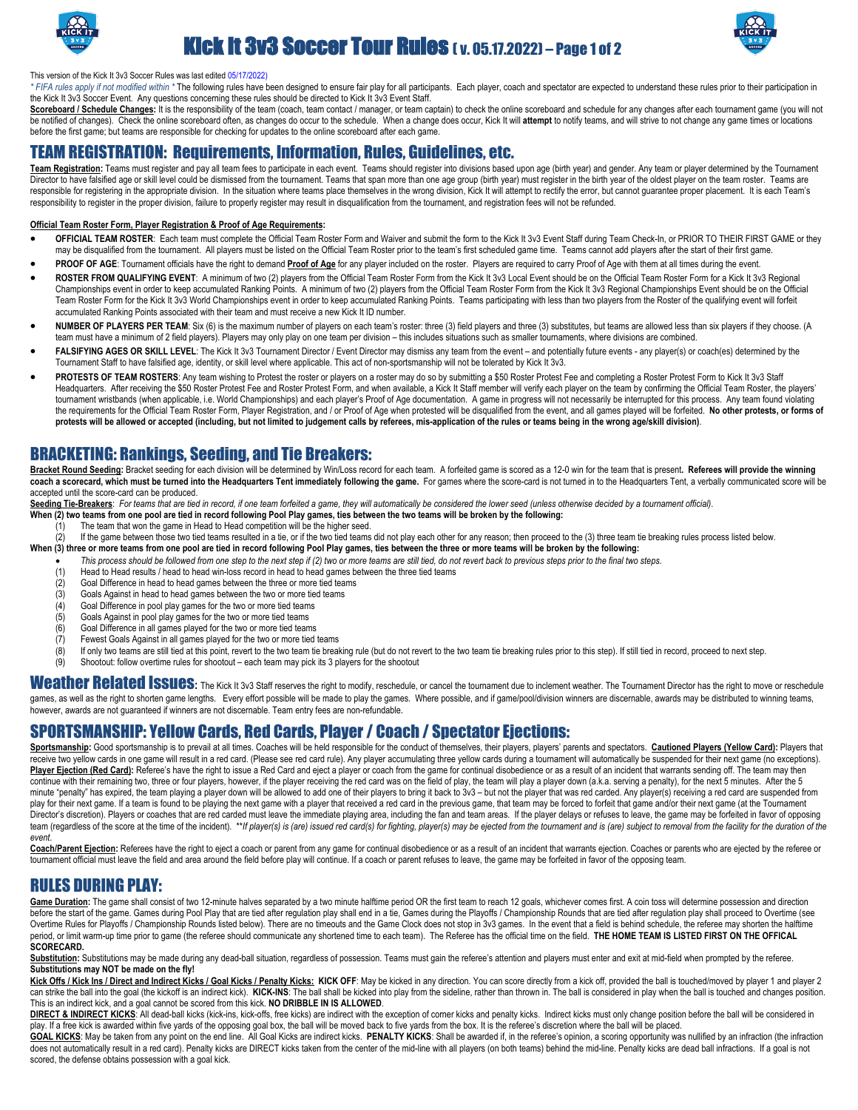

# **k it 3v3 Soccer Tour Rules (v. 05.17.2022) – Page 1 of 2**



#### This version of the Kick It 3v3 Soccer Rules was last edited 05/17/2022)

\* FIFA rules apply if not modified within \* The following rules have been designed to ensure fair play for all participants. Each player, coach and spectator are expected to understand these rules prior to their participat the Kick It 3v3 Soccer Event. Any questions concerning these rules should be directed to Kick It 3v3 Event Staff.

Scoreboard / Schedule Changes: It is the responsibility of the team (coach, team contact / manager, or team captain) to check the online scoreboard and schedule for any changes after each tournament game (you will not be notified of changes). Check the online scoreboard often, as changes do occur to the schedule. When a change does occur, Kick It will attempt to notify teams, and will strive to not change any game times or locations before the first game; but teams are responsible for checking for updates to the online scoreboard after each game.

### TEAM REGISTRATION: Requirements, Information, Rules, Guidelines, etc.

Team Registration: Teams must register and pay all team fees to participate in each event. Teams should register into divisions based upon age (birth year) and gender. Any team or player determined by the Tournament Director to have falsified age or skill level could be dismissed from the tournament. Teams that span more than one age group (birth year) must register in the birth year of the oldest player on the team roster. Teams are responsible for registering in the appropriate division. In the situation where teams place themselves in the wrong division, Kick It will attempt to rectify the error, but cannot guarantee proper placement. It is each Tea responsibility to register in the proper division, failure to properly register may result in disqualification from the tournament, and registration fees will not be refunded.

### **Official Team Roster Form, Player Registration & Proof of Age Requirements:**

- OFFICIAL TEAM ROSTER: Each team must complete the Official Team Roster Form and Waiver and submit the form to the Kick It 3v3 Event Staff during Team Check-In, or PRIOR TO THEIR FIRST GAME or they may be disqualified from the tournament. All players must be listed on the Official Team Roster prior to the team's first scheduled game time. Teams cannot add players after the start of their first game.
- PROOF OF AGE: Tournament officials have the right to demand Proof of Age for any player included on the roster. Players are required to carry Proof of Age with them at all times during the event.
- ROSTER FROM QUALIFYING EVENT: A minimum of two (2) players from the Official Team Roster Form from the Kick It 3v3 Local Event should be on the Official Team Roster Form for a Kick It 3v3 Regional Championships event in order to keep accumulated Ranking Points. A minimum of two (2) players from the Official Team Roster Form from the Kick It 3v3 Regional Championships Event should be on the Official Team Roster Form for the Kick It 3v3 World Championships event in order to keep accumulated Ranking Points. Teams participating with less than two players from the Roster of the qualifying event will forfeit accumulated Ranking Points associated with their team and must receive a new Kick It ID number.
- **NUMBER OF PLAYERS PER TEAM**: Six (6) is the maximum number of players on each team's roster: three (3) field players and three (3) substitutes, but teams are allowed less than six players if they choose. (A team must have a minimum of 2 field players). Players may only play on one team per division – this includes situations such as smaller tournaments, where divisions are combined.
- FALSIFYING AGES OR SKILL LEVEL: The Kick It 3v3 Tournament Director / Event Director may dismiss any team from the event and potentially future events any player(s) or coach(es) determined by the Tournament Staff to have falsified age, identity, or skill level where applicable. This act of non-sportsmanship will not be tolerated by Kick It 3v3.
- PROTESTS OF TEAM ROSTERS: Any team wishing to Protest the roster or players on a roster may do so by submitting a \$50 Roster Protest Fee and completing a Roster Protest Form to Kick It 3v3 Staff Headquarters. After receiving the \$50 Roster Protest Fee and Roster Protest Form, and when available, a Kick It Staff member will verify each player on the team by confirming the Official Team Roster, the players' tournament wristbands (when applicable, i.e. World Championships) and each player's Proof of Age documentation. A game in progress will not necessarily be interrupted for this process. Any team found violating the requirements for the Official Team Roster Form, Player Registration, and / or Proof of Age when protested will be disqualified from the event, and all games played will be forfeited. No other protests, or forms of **protests will be allowed or accepted (including, but not limited to judgement calls by referees, mis-application of the rules or teams being in the wrong age/skill division)**.

### BRACKETING: Rankings, Seeding, and Tie Breakers:

Bracket Round Seeding: Bracket seeding for each division will be determined by Win/Loss record for each team. A forfeited game is scored as a 12-0 win for the team that is present. Referees will provide the winning **coach a scorecard, which must be turned into the Headquarters Tent immediately following the game.** For games where the score-card is not turned in to the Headquarters Tent, a verbally communicated score will be accepted until the score-card can be produced.

Seeding Tie-Breakers: For teams that are tied in record, if one team forfeited a game, they will automatically be considered the lower seed (unless otherwise decided by a tournament official)

- **When (2) two teams from one pool are tied in record following Pool Play games, ties between the two teams will be broken by the following:**
	- (1) The team that won the game in Head to Head competition will be the higher seed.
- (2) If the game between those two tied teams resulted in a tie, or if the two tied teams did not play each other for any reason; then proceed to the (3) three team tie breaking rules process listed below.<br>When (3) three or
	- *This process should be followed from one step to the next step if (2) two or more teams are still tied, do not revert back to previous steps prior to the final two steps.*
	- (1) Head to Head results / head to head win-loss record in head to head games between the three tied teams
	- (2) Goal Difference in head to head games between the three or more tied teams
	- (3) Goals Against in head to head games between the two or more tied teams
	-
	- (4) Goal Difference in pool play games for the two or more tied teams<br>(5) Goals Against in pool play games for the two or more tied teams Goals Against in pool play games for the two or more tied teams
	- (6) Goal Difference in all games played for the two or more tied teams
	-
	- (7) Fewest Goals Against in all games played for the two or more tied teams (8) If only two teams are still tied at this point, revert to the two team tie breaking rule (but do not revert to the two team tie breaking rules prior to this step). If still tied in record, proceed to next step.<br>(9) Sho
	- Shootout: follow overtime rules for shootout each team may pick its 3 players for the shootout

however, awards are not guaranteed if winners are not discernable. Team entry fees are non-refundable.

Weather Related ISSues: The Kick It 3v3 Staff reserves the right to modify, reschedule, or cancel the tournament due to inclement weather. The Tournament Director has the right to move or reschedule games, as well as the right to shorten game lengths. Every effort possible will be made to play the games. Where possible, and if game/pool/division winners are discernable, awards may be distributed to winning teams,

# SPORTSMANSHIP: Yellow Cards, Red Cards, Player / Coach / Spectator Ejections:

Sportsmanship: Good sportsmanship is to prevail at all times. Coaches will be held responsible for the conduct of themselves, their players, players' parents and spectators. Cautioned Players (Yellow Card): Players that receive two yellow cards in one game will result in a red card. (Please see red card rule). Any player accumulating three yellow cards during a tournament will automatically be suspended for their next game (no exceptions) Player Ejection (Red Card): Referee's have the right to issue a Red Card and eject a player or coach from the game for continual disobedience or as a result of an incident that warrants sending off. The team may then continue with their remaining two, three or four players, however, if the player receiving the red card was on the field of play, the team will play a player down (a.k.a. serving a penalty), for the next 5 minutes. After t play for their next game. If a team is found to be playing the next game with a player that received a red card in the previous game, that team may be forced to forfeit that game and/or their next game (at the Tournament Director's discretion). Players or coaches that are red carded must leave the immediate playing area, including the fan and team areas. If the player delays or refuses to leave, the game may be forfeited in favor of opposi team (regardless of the score at the time of the incident). \*\*If player(s) is (are) issued red card(s) for fighting, player(s) may be ejected from the tournament and is (are) subject to removal from the facility for the du *event.* 

Coach/Parent Ejection: Referees have the right to eject a coach or parent from any game for continual disobedience or as a result of an incident that warrants ejection. Coaches or parents who are ejected by the referee or tournament official must leave the field and area around the field before play will continue. If a coach or parent refuses to leave, the game may be forfeited in favor of the opposing team.

## RULES DURING PLAY:

Game Duration: The game shall consist of two 12-minute halves separated by a two minute halftime period OR the first team to reach 12 goals, whichever comes first. A coin toss will determine possession and direction before the start of the game. Games during Pool Play that are tied after regulation play shall end in a tie, Games during the Playoffs / Championship Rounds that are tied after regulation play shall proceed to Overtime (se Overtime Rules for Playoffs / Championship Rounds listed below). There are no timeouts and the Game Clock does not stop in 3v3 games. In the event that a field is behind schedule, the referee may shorten the halftime period, or limit warm-up time prior to game (the referee should communicate any shortened time to each team). The Referee has the official time on the field. THE HOME TEAM IS LISTED FIRST ON THE OFFICAL **SCORECARD.**

Substitution: Substitutions may be made during any dead-ball situation, regardless of possession. Teams must gain the referee's attention and players must enter and exit at mid-field when prompted by the referee. **Substitutions may NOT be made on the fly!**

Kick Offs / Kick Ins / Direct and Indirect Kicks / Goal Kicks / Penalty Kicks: KICK OFF: May be kicked in any direction. You can score directly from a kick off, provided the ball is touched/moved by player 1 and player 2 can strike the ball into the goal (the kickoff is an indirect kick). KICK-INS: The ball shall be kicked into play from the sideline, rather than thrown in. The ball is considered in play when the ball is touched and change This is an indirect kick, and a goal cannot be scored from this kick. **NO DRIBBLE IN IS ALLOWED**.

DIRECT & INDIRECT KICKS: All dead-ball kicks (kick-ins, kick-offs, free kicks) are indirect with the exception of corner kicks and penalty kicks. Indirect kicks must only change position before the ball will be considered play. If a free kick is awarded within five yards of the opposing goal box, the ball will be moved back to five yards from the box. It is the referee's discretion where the ball will be placed.

GOAL KICKS: May be taken from any point on the end line. All Goal Kicks are indirect kicks. PENALTY KICKS: Shall be awarded if, in the referee's opinion, a scoring opportunity was nullified by an infraction (the infraction does not automatically result in a red card). Penalty kicks are DIRECT kicks taken from the center of the mid-line with all players (on both teams) behind the mid-line. Penalty kicks are dead ball infractions. If a goal is scored, the defense obtains possession with a goal kick.